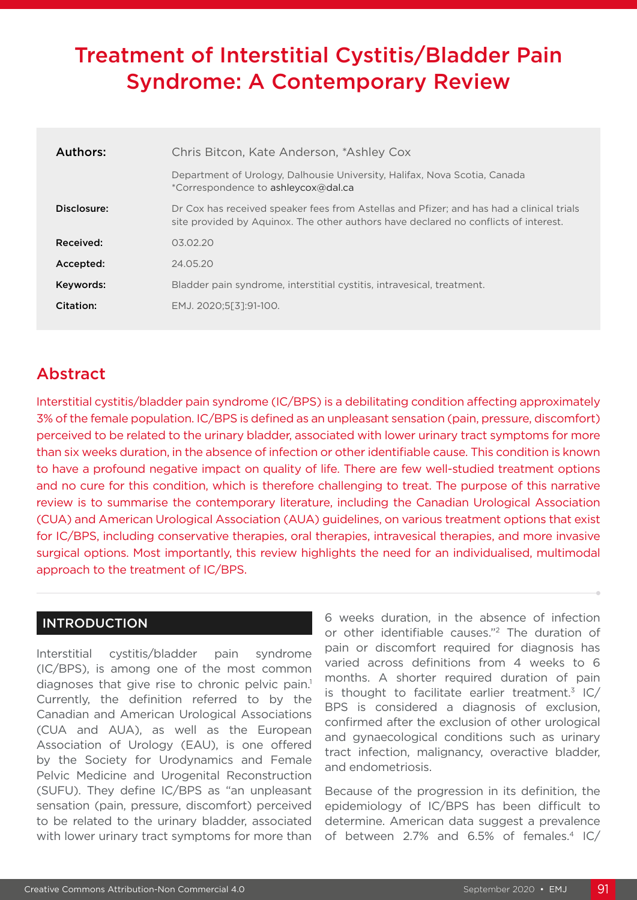# Treatment of Interstitial Cystitis/Bladder Pain Syndrome: A Contemporary Review

| Authors:    | Chris Bitcon, Kate Anderson, *Ashley Cox                                                                                                                                        |
|-------------|---------------------------------------------------------------------------------------------------------------------------------------------------------------------------------|
|             | Department of Urology, Dalhousie University, Halifax, Nova Scotia, Canada<br>*Correspondence to ashleycox@dal.ca                                                                |
| Disclosure: | Dr Cox has received speaker fees from Astellas and Pfizer; and has had a clinical trials<br>site provided by Aquinox. The other authors have declared no conflicts of interest. |
| Received:   | 03.02.20                                                                                                                                                                        |
| Accepted:   | 24.05.20                                                                                                                                                                        |
| Keywords:   | Bladder pain syndrome, interstitial cystitis, intravesical, treatment.                                                                                                          |
| Citation:   | EMJ. 2020;5[3]:91-100.                                                                                                                                                          |
|             |                                                                                                                                                                                 |

## Abstract

Interstitial cystitis/bladder pain syndrome (IC/BPS) is a debilitating condition affecting approximately 3% of the female population. IC/BPS is defined as an unpleasant sensation (pain, pressure, discomfort) perceived to be related to the urinary bladder, associated with lower urinary tract symptoms for more than six weeks duration, in the absence of infection or other identifiable cause. This condition is known to have a profound negative impact on quality of life. There are few well-studied treatment options and no cure for this condition, which is therefore challenging to treat. The purpose of this narrative review is to summarise the contemporary literature, including the Canadian Urological Association (CUA) and American Urological Association (AUA) guidelines, on various treatment options that exist for IC/BPS, including conservative therapies, oral therapies, intravesical therapies, and more invasive surgical options. Most importantly, this review highlights the need for an individualised, multimodal approach to the treatment of IC/BPS.

#### INTRODUCTION

Interstitial cystitis/bladder pain syndrome (IC/BPS), is among one of the most common diagnoses that give rise to chronic pelvic pain.<sup>1</sup> Currently, the definition referred to by the Canadian and American Urological Associations (CUA and AUA), as well as the European Association of Urology (EAU), is one offered by the Society for Urodynamics and Female Pelvic Medicine and Urogenital Reconstruction (SUFU). They define IC/BPS as "an unpleasant sensation (pain, pressure, discomfort) perceived to be related to the urinary bladder, associated with lower urinary tract symptoms for more than

6 weeks duration, in the absence of infection or other identifiable causes."2 The duration of pain or discomfort required for diagnosis has varied across definitions from 4 weeks to 6 months. A shorter required duration of pain is thought to facilitate earlier treatment.<sup>3</sup> IC/ BPS is considered a diagnosis of exclusion, confirmed after the exclusion of other urological and gynaecological conditions such as urinary tract infection, malignancy, overactive bladder, and endometriosis.

Because of the progression in its definition, the epidemiology of IC/BPS has been difficult to determine. American data suggest a prevalence of between 2.7% and 6.5% of females.<sup>4</sup> IC/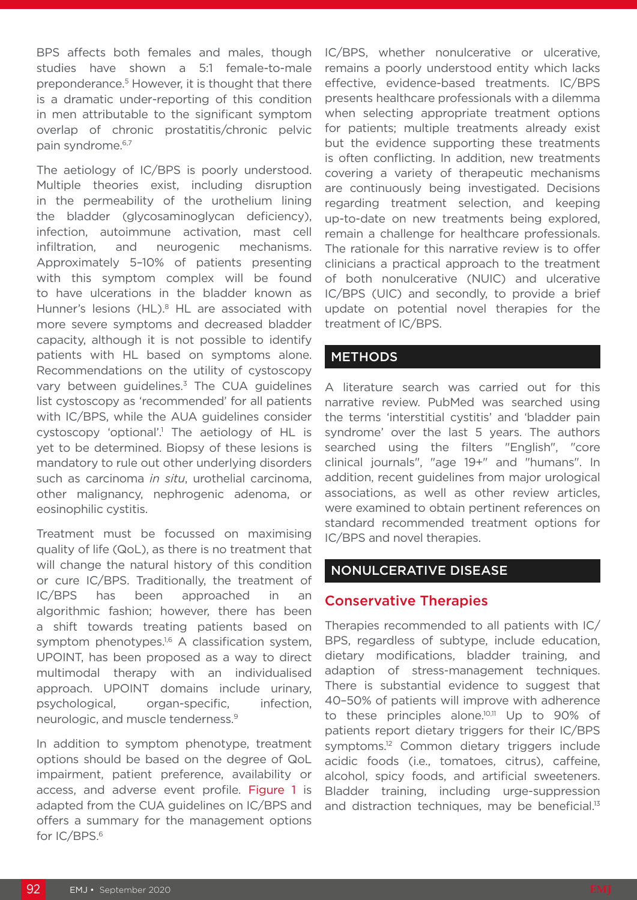BPS affects both females and males, though studies have shown a 5:1 female-to-male preponderance.<sup>5</sup> However, it is thought that there is a dramatic under-reporting of this condition in men attributable to the significant symptom overlap of chronic prostatitis/chronic pelvic pain syndrome.<sup>6,7</sup>

The aetiology of IC/BPS is poorly understood. Multiple theories exist, including disruption in the permeability of the urothelium lining the bladder (glycosaminoglycan deficiency), infection, autoimmune activation, mast cell infiltration, and neurogenic mechanisms. Approximately 5–10% of patients presenting with this symptom complex will be found to have ulcerations in the bladder known as Hunner's lesions (HL).<sup>8</sup> HL are associated with more severe symptoms and decreased bladder capacity, although it is not possible to identify patients with HL based on symptoms alone. Recommendations on the utility of cystoscopy vary between guidelines.<sup>3</sup> The CUA guidelines list cystoscopy as 'recommended' for all patients with IC/BPS, while the AUA guidelines consider cystoscopy 'optional'.<sup>1</sup> The aetiology of HL is yet to be determined. Biopsy of these lesions is mandatory to rule out other underlying disorders such as carcinoma *in situ*, urothelial carcinoma, other malignancy, nephrogenic adenoma, or eosinophilic cystitis.

Treatment must be focussed on maximising quality of life (QoL), as there is no treatment that will change the natural history of this condition or cure IC/BPS. Traditionally, the treatment of IC/BPS has been approached in an algorithmic fashion; however, there has been a shift towards treating patients based on symptom phenotypes.<sup>1,6</sup> A classification system, UPOINT, has been proposed as a way to direct multimodal therapy with an individualised approach. UPOINT domains include urinary, psychological, organ-specific, infection, neurologic, and muscle tenderness.9

In addition to symptom phenotype, treatment options should be based on the degree of QoL impairment, patient preference, availability or access, and adverse event profile. Figure 1 is adapted from the CUA guidelines on IC/BPS and offers a summary for the management options for IC/BPS.6

IC/BPS, whether nonulcerative or ulcerative, remains a poorly understood entity which lacks effective, evidence-based treatments. IC/BPS presents healthcare professionals with a dilemma when selecting appropriate treatment options for patients; multiple treatments already exist but the evidence supporting these treatments is often conflicting. In addition, new treatments covering a variety of therapeutic mechanisms are continuously being investigated. Decisions regarding treatment selection, and keeping up-to-date on new treatments being explored, remain a challenge for healthcare professionals. The rationale for this narrative review is to offer clinicians a practical approach to the treatment of both nonulcerative (NUIC) and ulcerative IC/BPS (UIC) and secondly, to provide a brief update on potential novel therapies for the treatment of IC/BPS.

#### **METHODS**

A literature search was carried out for this narrative review. PubMed was searched using the terms 'interstitial cystitis' and 'bladder pain syndrome' over the last 5 years. The authors searched using the filters "English", "core clinical journals", "age 19+" and "humans". In addition, recent guidelines from major urological associations, as well as other review articles, were examined to obtain pertinent references on standard recommended treatment options for IC/BPS and novel therapies.

#### NONULCERATIVE DISEASE

#### Conservative Therapies

Therapies recommended to all patients with IC/ BPS, regardless of subtype, include education, dietary modifications, bladder training, and adaption of stress-management techniques. There is substantial evidence to suggest that 40–50% of patients will improve with adherence to these principles alone.10,11 Up to 90% of patients report dietary triggers for their IC/BPS symptoms.<sup>12</sup> Common dietary triggers include acidic foods (i.e., tomatoes, citrus), caffeine, alcohol, spicy foods, and artificial sweeteners. Bladder training, including urge-suppression and distraction techniques, may be beneficial.<sup>13</sup>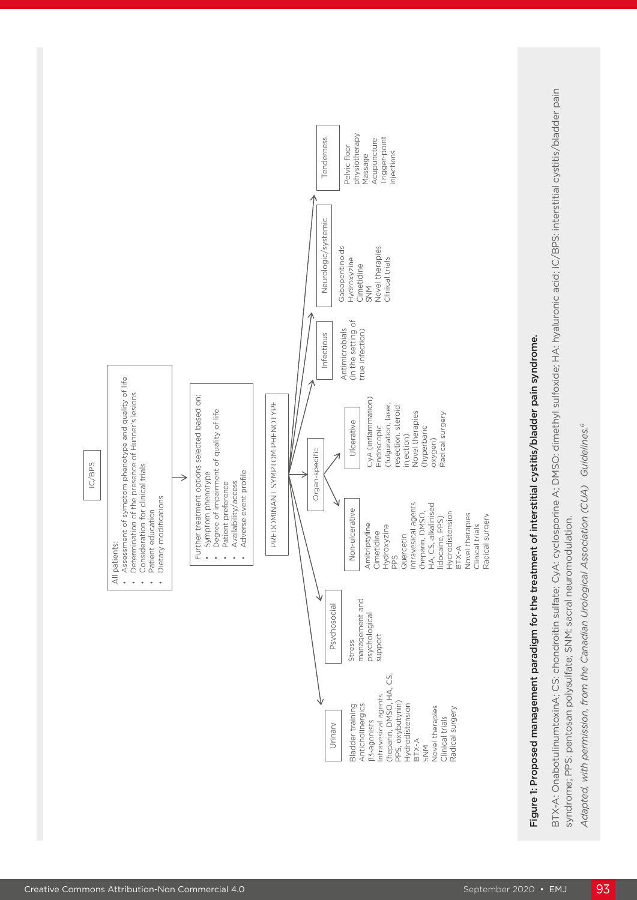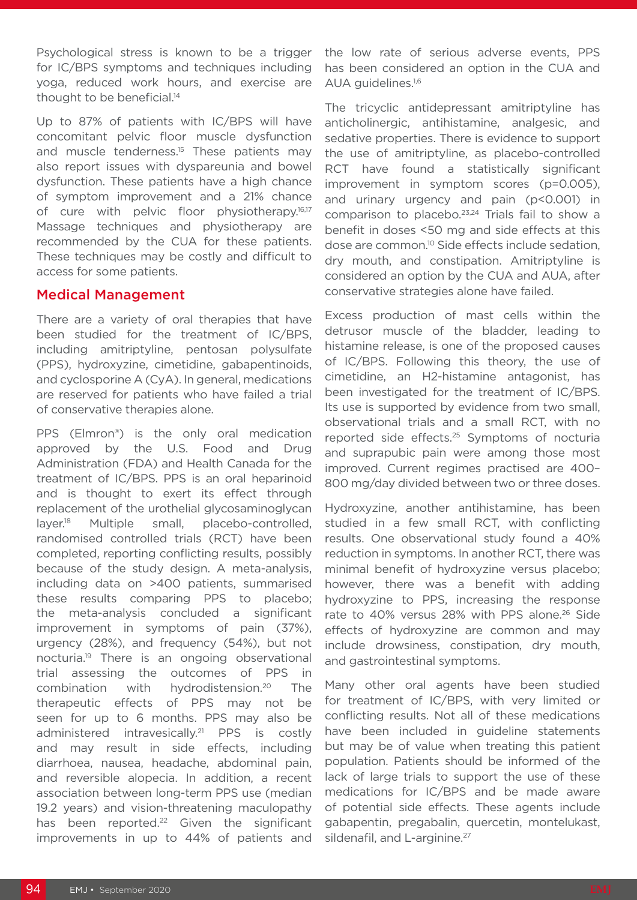Psychological stress is known to be a trigger for IC/BPS symptoms and techniques including yoga, reduced work hours, and exercise are thought to be beneficial.<sup>14</sup>

Up to 87% of patients with IC/BPS will have concomitant pelvic floor muscle dysfunction and muscle tenderness.<sup>15</sup> These patients may also report issues with dyspareunia and bowel dysfunction. These patients have a high chance of symptom improvement and a 21% chance of cure with pelvic floor physiotherapy.<sup>16,17</sup> Massage techniques and physiotherapy are recommended by the CUA for these patients. These techniques may be costly and difficult to access for some patients.

#### Medical Management

There are a variety of oral therapies that have been studied for the treatment of IC/BPS, including amitriptyline, pentosan polysulfate (PPS), hydroxyzine, cimetidine, gabapentinoids, and cyclosporine A (CyA). In general, medications are reserved for patients who have failed a trial of conservative therapies alone.

PPS (Elmron®) is the only oral medication approved by the U.S. Food and Drug Administration (FDA) and Health Canada for the treatment of IC/BPS. PPS is an oral heparinoid and is thought to exert its effect through replacement of the urothelial glycosaminoglycan layer.18 Multiple small, placebo-controlled, randomised controlled trials (RCT) have been completed, reporting conflicting results, possibly because of the study design. A meta-analysis, including data on >400 patients, summarised these results comparing PPS to placebo; the meta-analysis concluded a significant improvement in symptoms of pain (37%), urgency (28%), and frequency (54%), but not nocturia.19 There is an ongoing observational trial assessing the outcomes of PPS in combination with hydrodistension.20 The therapeutic effects of PPS may not be seen for up to 6 months. PPS may also be administered intravesically.<sup>21</sup> PPS is costly and may result in side effects, including diarrhoea, nausea, headache, abdominal pain, and reversible alopecia. In addition, a recent association between long-term PPS use (median 19.2 years) and vision-threatening maculopathy has been reported.<sup>22</sup> Given the significant improvements in up to 44% of patients and

the low rate of serious adverse events, PPS has been considered an option in the CUA and AUA guidelines.1,6

The tricyclic antidepressant amitriptyline has anticholinergic, antihistamine, analgesic, and sedative properties. There is evidence to support the use of amitriptyline, as placebo-controlled RCT have found a statistically significant improvement in symptom scores (p=0.005), and urinary urgency and pain (p<0.001) in comparison to placebo.<sup>23,24</sup> Trials fail to show a benefit in doses <50 mg and side effects at this dose are common.10 Side effects include sedation, dry mouth, and constipation. Amitriptyline is considered an option by the CUA and AUA, after conservative strategies alone have failed.

Excess production of mast cells within the detrusor muscle of the bladder, leading to histamine release, is one of the proposed causes of IC/BPS. Following this theory, the use of cimetidine, an H2-histamine antagonist, has been investigated for the treatment of IC/BPS. Its use is supported by evidence from two small, observational trials and a small RCT, with no reported side effects.25 Symptoms of nocturia and suprapubic pain were among those most improved. Current regimes practised are 400– 800 mg/day divided between two or three doses.

Hydroxyzine, another antihistamine, has been studied in a few small RCT, with conflicting results. One observational study found a 40% reduction in symptoms. In another RCT, there was minimal benefit of hydroxyzine versus placebo; however, there was a benefit with adding hydroxyzine to PPS, increasing the response rate to 40% versus 28% with PPS alone.<sup>26</sup> Side effects of hydroxyzine are common and may include drowsiness, constipation, dry mouth, and gastrointestinal symptoms.

Many other oral agents have been studied for treatment of IC/BPS, with very limited or conflicting results. Not all of these medications have been included in guideline statements but may be of value when treating this patient population. Patients should be informed of the lack of large trials to support the use of these medications for IC/BPS and be made aware of potential side effects. These agents include gabapentin, pregabalin, quercetin, montelukast, sildenafil, and L-arginine.<sup>27</sup>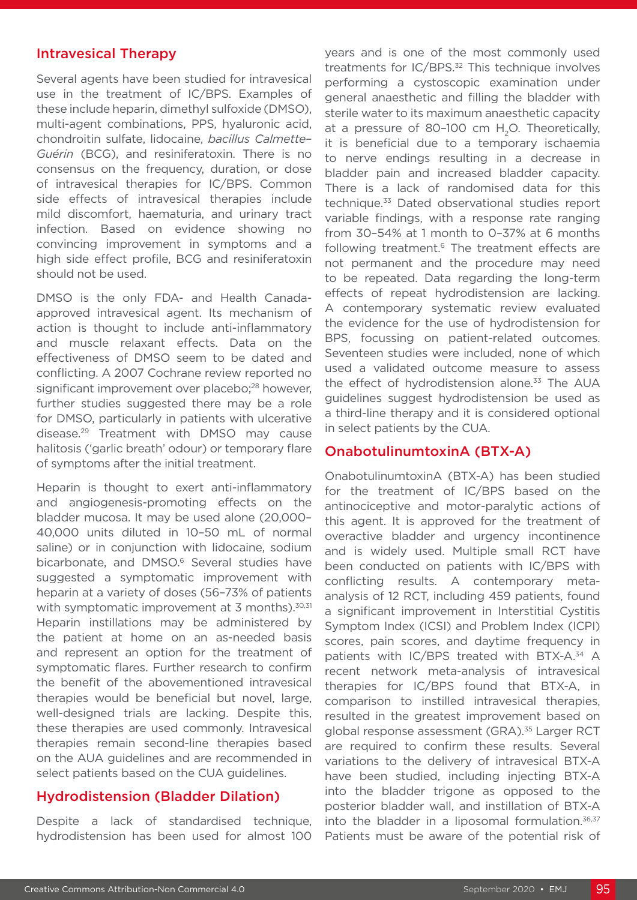#### Intravesical Therapy

Several agents have been studied for intravesical use in the treatment of IC/BPS. Examples of these include heparin, dimethyl sulfoxide (DMSO), multi-agent combinations, PPS, hyaluronic acid, chondroitin sulfate, lidocaine, *bacillus Calmette– Guérin* (BCG), and resiniferatoxin. There is no consensus on the frequency, duration, or dose of intravesical therapies for IC/BPS. Common side effects of intravesical therapies include mild discomfort, haematuria, and urinary tract infection. Based on evidence showing no convincing improvement in symptoms and a high side effect profile, BCG and resiniferatoxin should not be used.

DMSO is the only FDA- and Health Canadaapproved intravesical agent. Its mechanism of action is thought to include anti-inflammatory and muscle relaxant effects. Data on the effectiveness of DMSO seem to be dated and conflicting. A 2007 Cochrane review reported no significant improvement over placebo;<sup>28</sup> however, further studies suggested there may be a role for DMSO, particularly in patients with ulcerative disease.29 Treatment with DMSO may cause halitosis ('garlic breath' odour) or temporary flare of symptoms after the initial treatment.

Heparin is thought to exert anti-inflammatory and angiogenesis-promoting effects on the bladder mucosa. It may be used alone (20,000– 40,000 units diluted in 10–50 mL of normal saline) or in conjunction with lidocaine, sodium bicarbonate, and DMSO.<sup>6</sup> Several studies have suggested a symptomatic improvement with heparin at a variety of doses (56–73% of patients with symptomatic improvement at  $3$  months).<sup>30,31</sup> Heparin instillations may be administered by the patient at home on an as-needed basis and represent an option for the treatment of symptomatic flares. Further research to confirm the benefit of the abovementioned intravesical therapies would be beneficial but novel, large, well-designed trials are lacking. Despite this, these therapies are used commonly. Intravesical therapies remain second-line therapies based on the AUA guidelines and are recommended in select patients based on the CUA guidelines.

#### Hydrodistension (Bladder Dilation)

Despite a lack of standardised technique, hydrodistension has been used for almost 100 years and is one of the most commonly used treatments for IC/BPS.<sup>32</sup> This technique involves performing a cystoscopic examination under general anaesthetic and filling the bladder with sterile water to its maximum anaesthetic capacity at a pressure of 80-100 cm H<sub>2</sub>O. Theoretically, it is beneficial due to a temporary ischaemia to nerve endings resulting in a decrease in bladder pain and increased bladder capacity. There is a lack of randomised data for this technique.<sup>33</sup> Dated observational studies report variable findings, with a response rate ranging from 30–54% at 1 month to 0–37% at 6 months following treatment.<sup>6</sup> The treatment effects are not permanent and the procedure may need to be repeated. Data regarding the long-term effects of repeat hydrodistension are lacking. A contemporary systematic review evaluated the evidence for the use of hydrodistension for BPS, focussing on patient-related outcomes. Seventeen studies were included, none of which used a validated outcome measure to assess the effect of hydrodistension alone.<sup>33</sup> The AUA guidelines suggest hydrodistension be used as a third-line therapy and it is considered optional in select patients by the CUA.

#### OnabotulinumtoxinA (BTX-A)

OnabotulinumtoxinA (BTX-A) has been studied for the treatment of IC/BPS based on the antinociceptive and motor-paralytic actions of this agent. It is approved for the treatment of overactive bladder and urgency incontinence and is widely used. Multiple small RCT have been conducted on patients with IC/BPS with conflicting results. A contemporary metaanalysis of 12 RCT, including 459 patients, found a significant improvement in Interstitial Cystitis Symptom Index (ICSI) and Problem Index (ICPI) scores, pain scores, and daytime frequency in patients with IC/BPS treated with BTX-A.<sup>34</sup> A recent network meta-analysis of intravesical therapies for IC/BPS found that BTX-A, in comparison to instilled intravesical therapies, resulted in the greatest improvement based on global response assessment (GRA).<sup>35</sup> Larger RCT are required to confirm these results. Several variations to the delivery of intravesical BTX-A have been studied, including injecting BTX-A into the bladder trigone as opposed to the posterior bladder wall, and instillation of BTX-A into the bladder in a liposomal formulation. $36,37$ Patients must be aware of the potential risk of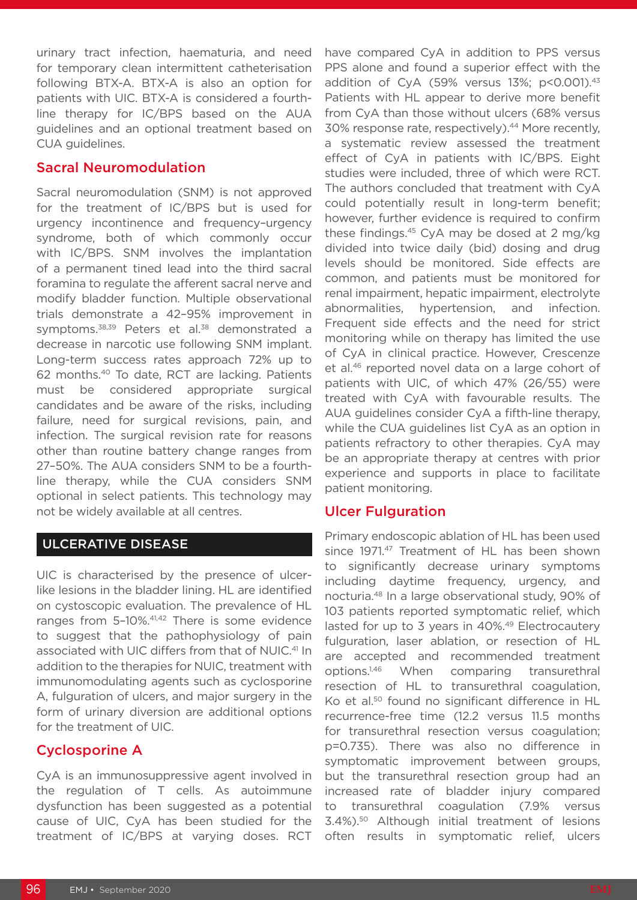urinary tract infection, haematuria, and need for temporary clean intermittent catheterisation following BTX-A. BTX-A is also an option for patients with UIC. BTX-A is considered a fourthline therapy for IC/BPS based on the AUA guidelines and an optional treatment based on CUA guidelines.

#### Sacral Neuromodulation

Sacral neuromodulation (SNM) is not approved for the treatment of IC/BPS but is used for urgency incontinence and frequency–urgency syndrome, both of which commonly occur with IC/BPS. SNM involves the implantation of a permanent tined lead into the third sacral foramina to regulate the afferent sacral nerve and modify bladder function. Multiple observational trials demonstrate a 42–95% improvement in symptoms.<sup>38,39</sup> Peters et al.<sup>38</sup> demonstrated a decrease in narcotic use following SNM implant. Long-term success rates approach 72% up to 62 months.40 To date, RCT are lacking. Patients must be considered appropriate surgical candidates and be aware of the risks, including failure, need for surgical revisions, pain, and infection. The surgical revision rate for reasons other than routine battery change ranges from 27–50%. The AUA considers SNM to be a fourthline therapy, while the CUA considers SNM optional in select patients. This technology may not be widely available at all centres.

### ULCERATIVE DISEASE

UIC is characterised by the presence of ulcerlike lesions in the bladder lining. HL are identified on cystoscopic evaluation. The prevalence of HL ranges from 5-10%.<sup>41,42</sup> There is some evidence to suggest that the pathophysiology of pain associated with UIC differs from that of NUIC.<sup>41</sup> In addition to the therapies for NUIC, treatment with immunomodulating agents such as cyclosporine A, fulguration of ulcers, and major surgery in the form of urinary diversion are additional options for the treatment of UIC.

### Cyclosporine A

CyA is an immunosuppressive agent involved in the regulation of T cells. As autoimmune dysfunction has been suggested as a potential cause of UIC, CyA has been studied for the treatment of IC/BPS at varying doses. RCT

have compared CyA in addition to PPS versus PPS alone and found a superior effect with the addition of CyA (59% versus 13%; p<0.001).<sup>43</sup> Patients with HL appear to derive more benefit from CyA than those without ulcers (68% versus 30% response rate, respectively).<sup>44</sup> More recently. a systematic review assessed the treatment effect of CyA in patients with IC/BPS. Eight studies were included, three of which were RCT. The authors concluded that treatment with CyA could potentially result in long-term benefit; however, further evidence is required to confirm these findings.45 CyA may be dosed at 2 mg/kg divided into twice daily (bid) dosing and drug levels should be monitored. Side effects are common, and patients must be monitored for renal impairment, hepatic impairment, electrolyte abnormalities, hypertension, and infection. Frequent side effects and the need for strict monitoring while on therapy has limited the use of CyA in clinical practice. However, Crescenze et al.<sup>46</sup> reported novel data on a large cohort of patients with UIC, of which 47% (26/55) were treated with CyA with favourable results. The AUA guidelines consider CyA a fifth-line therapy, while the CUA guidelines list CyA as an option in patients refractory to other therapies. CyA may be an appropriate therapy at centres with prior experience and supports in place to facilitate patient monitoring.

#### Ulcer Fulguration

Primary endoscopic ablation of HL has been used since 1971.<sup>47</sup> Treatment of HL has been shown to significantly decrease urinary symptoms including daytime frequency, urgency, and nocturia.48 In a large observational study, 90% of 103 patients reported symptomatic relief, which lasted for up to 3 years in 40%.49 Electrocautery fulguration, laser ablation, or resection of HL are accepted and recommended treatment options.1,46 When comparing transurethral resection of HL to transurethral coagulation, Ko et al.<sup>50</sup> found no significant difference in HL recurrence-free time (12.2 versus 11.5 months for transurethral resection versus coagulation; p=0.735). There was also no difference in symptomatic improvement between groups, but the transurethral resection group had an increased rate of bladder injury compared to transurethral coagulation (7.9% versus 3.4%).50 Although initial treatment of lesions often results in symptomatic relief, ulcers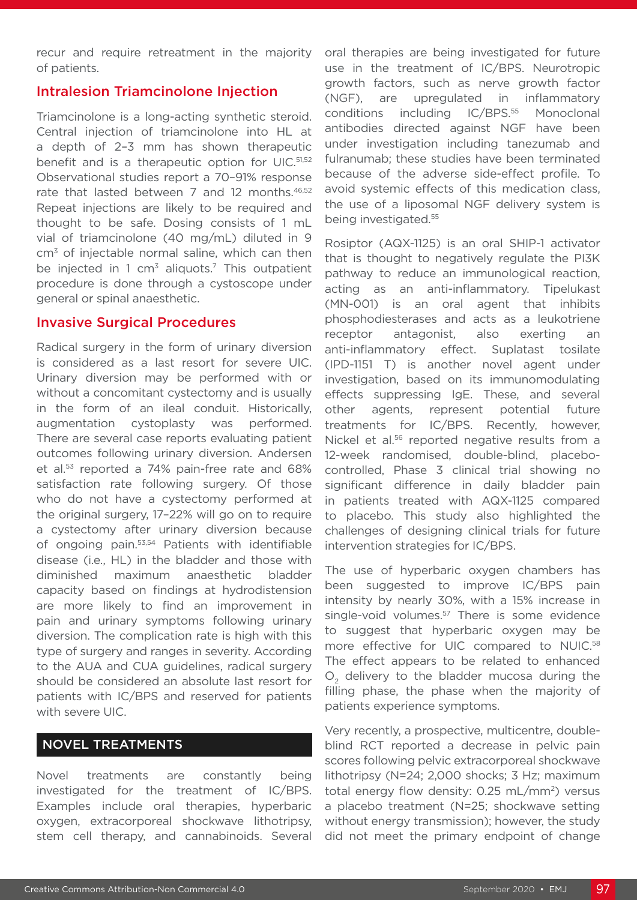recur and require retreatment in the majority of patients.

#### Intralesion Triamcinolone Injection

Triamcinolone is a long-acting synthetic steroid. Central injection of triamcinolone into HL at a depth of 2–3 mm has shown therapeutic benefit and is a therapeutic option for UIC.51,52 Observational studies report a 70–91% response rate that lasted between 7 and 12 months.<sup>46,52</sup> Repeat injections are likely to be required and thought to be safe. Dosing consists of 1 mL vial of triamcinolone (40 mg/mL) diluted in 9 cm3 of injectable normal saline, which can then be injected in 1  $cm<sup>3</sup>$  aliquots.<sup>7</sup> This outpatient procedure is done through a cystoscope under general or spinal anaesthetic.

#### Invasive Surgical Procedures

Radical surgery in the form of urinary diversion is considered as a last resort for severe UIC. Urinary diversion may be performed with or without a concomitant cystectomy and is usually in the form of an ileal conduit. Historically, augmentation cystoplasty was performed. There are several case reports evaluating patient outcomes following urinary diversion. Andersen et al.53 reported a 74% pain-free rate and 68% satisfaction rate following surgery. Of those who do not have a cystectomy performed at the original surgery, 17–22% will go on to require a cystectomy after urinary diversion because of ongoing pain.53,54 Patients with identifiable disease (i.e., HL) in the bladder and those with diminished maximum anaesthetic bladder capacity based on findings at hydrodistension are more likely to find an improvement in pain and urinary symptoms following urinary diversion. The complication rate is high with this type of surgery and ranges in severity. According to the AUA and CUA guidelines, radical surgery should be considered an absolute last resort for patients with IC/BPS and reserved for patients with severe UIC.

#### NOVEL TREATMENTS

Novel treatments are constantly being investigated for the treatment of IC/BPS. Examples include oral therapies, hyperbaric oxygen, extracorporeal shockwave lithotripsy, stem cell therapy, and cannabinoids. Several

oral therapies are being investigated for future use in the treatment of IC/BPS. Neurotropic growth factors, such as nerve growth factor (NGF), are upregulated in inflammatory conditions including IC/BPS.55 Monoclonal antibodies directed against NGF have been under investigation including tanezumab and fulranumab; these studies have been terminated because of the adverse side-effect profile. To avoid systemic effects of this medication class, the use of a liposomal NGF delivery system is being investigated.55

Rosiptor (AQX-1125) is an oral SHIP-1 activator that is thought to negatively regulate the PI3K pathway to reduce an immunological reaction, acting as an anti-inflammatory. Tipelukast (MN-001) is an oral agent that inhibits phosphodiesterases and acts as a leukotriene receptor antagonist, also exerting an anti-inflammatory effect. Suplatast tosilate (IPD-1151 T) is another novel agent under investigation, based on its immunomodulating effects suppressing IgE. These, and several other agents, represent potential future treatments for IC/BPS. Recently, however, Nickel et al.<sup>56</sup> reported negative results from a 12-week randomised, double-blind, placebocontrolled, Phase 3 clinical trial showing no significant difference in daily bladder pain in patients treated with AQX-1125 compared to placebo. This study also highlighted the challenges of designing clinical trials for future intervention strategies for IC/BPS.

The use of hyperbaric oxygen chambers has been suggested to improve IC/BPS pain intensity by nearly 30%, with a 15% increase in single-void volumes.<sup>57</sup> There is some evidence to suggest that hyperbaric oxygen may be more effective for UIC compared to NUIC.<sup>58</sup> The effect appears to be related to enhanced O<sub>2</sub> delivery to the bladder mucosa during the filling phase, the phase when the majority of patients experience symptoms.

Very recently, a prospective, multicentre, doubleblind RCT reported a decrease in pelvic pain scores following pelvic extracorporeal shockwave lithotripsy (N=24; 2,000 shocks; 3 Hz; maximum total energy flow density:  $0.25$  mL/mm<sup>2</sup>) versus a placebo treatment (N=25; shockwave setting without energy transmission); however, the study did not meet the primary endpoint of change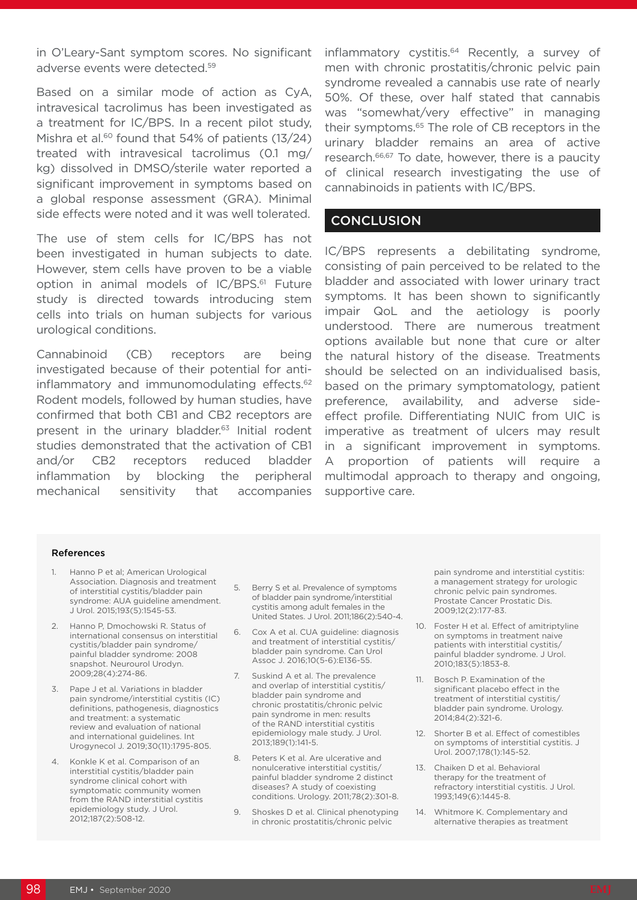in O'Leary-Sant symptom scores. No significant adverse events were detected.59

Based on a similar mode of action as CyA, intravesical tacrolimus has been investigated as a treatment for IC/BPS. In a recent pilot study, Mishra et al.<sup>60</sup> found that 54% of patients (13/24) treated with intravesical tacrolimus (0.1 mg/ kg) dissolved in DMSO/sterile water reported a significant improvement in symptoms based on a global response assessment (GRA). Minimal side effects were noted and it was well tolerated.

The use of stem cells for IC/BPS has not been investigated in human subjects to date. However, stem cells have proven to be a viable option in animal models of IC/BPS.<sup>61</sup> Future study is directed towards introducing stem cells into trials on human subjects for various urological conditions.

Cannabinoid (CB) receptors are being investigated because of their potential for antiinflammatory and immunomodulating effects.<sup>62</sup> Rodent models, followed by human studies, have confirmed that both CB1 and CB2 receptors are present in the urinary bladder.<sup>63</sup> Initial rodent studies demonstrated that the activation of CB1 and/or CB2 receptors reduced bladder inflammation by blocking the peripheral mechanical sensitivity that accompanies

inflammatory cystitis.<sup>64</sup> Recently, a survey of men with chronic prostatitis/chronic pelvic pain syndrome revealed a cannabis use rate of nearly 50%. Of these, over half stated that cannabis was "somewhat/very effective" in managing their symptoms.65 The role of CB receptors in the urinary bladder remains an area of active research.<sup>66,67</sup> To date, however, there is a paucity of clinical research investigating the use of cannabinoids in patients with IC/BPS.

#### **CONCLUSION**

IC/BPS represents a debilitating syndrome, consisting of pain perceived to be related to the bladder and associated with lower urinary tract symptoms. It has been shown to significantly impair QoL and the aetiology is poorly understood. There are numerous treatment options available but none that cure or alter the natural history of the disease. Treatments should be selected on an individualised basis, based on the primary symptomatology, patient preference, availability, and adverse sideeffect profile. Differentiating NUIC from UIC is imperative as treatment of ulcers may result in a significant improvement in symptoms. A proportion of patients will require a multimodal approach to therapy and ongoing, supportive care.

#### References

- 1. Hanno P et al; American Urological Association. Diagnosis and treatment of interstitial cystitis/bladder pain syndrome: AUA guideline amendment. J Urol. 2015;193(5):1545-53.
- 2. Hanno P, Dmochowski R. Status of international consensus on interstitial cystitis/bladder pain syndrome/ painful bladder syndrome: 2008 snapshot. Neurourol Urodyn. 2009;28(4):274-86.
- 3. Pape J et al. Variations in bladder pain syndrome/interstitial cystitis (IC) definitions, pathogenesis, diagnostics and treatment: a systematic review and evaluation of national and international guidelines. Int Urogynecol J. 2019;30(11):1795-805.
- Konkle K et al. Comparison of an interstitial cystitis/bladder pain syndrome clinical cohort with symptomatic community women from the RAND interstitial cystitis epidemiology study. J Urol. 2012;187(2):508-12.
- 5. Berry S et al. Prevalence of symptoms of bladder pain syndrome/interstitial cystitis among adult females in the United States. J Urol. 2011;186(2):540-4.
- 6. Cox A et al. CUA guideline: diagnosis and treatment of interstitial cystitis/ bladder pain syndrome. Can Urol Assoc J. 2016;10(5-6):E136-55.
- 7. Suskind A et al. The prevalence and overlap of interstitial cystitis/ bladder pain syndrome and chronic prostatitis/chronic pelvic pain syndrome in men: results of the RAND interstitial cystitis epidemiology male study. J Urol. 2013;189(1):141-5.
- 8. Peters K et al. Are ulcerative and nonulcerative interstitial cystitis/ painful bladder syndrome 2 distinct diseases? A study of coexisting conditions. Urology. 2011;78(2):301-8.
- 9. Shoskes D et al. Clinical phenotyping in chronic prostatitis/chronic pelvic

pain syndrome and interstitial cystitis: a management strategy for urologic chronic pelvic pain syndromes. Prostate Cancer Prostatic Dis. 2009;12(2):177-83.

- 10. Foster H et al. Effect of amitriptyline on symptoms in treatment naive patients with interstitial cystitis/ painful bladder syndrome. J Urol. 2010;183(5):1853-8.
- 11. Bosch P. Examination of the significant placebo effect in the treatment of interstitial cystitis/ bladder pain syndrome. Urology. 2014;84(2):321-6.
- 12. Shorter B et al. Effect of comestibles on symptoms of interstitial cystitis. J Urol. 2007;178(1):145-52.
- 13. Chaiken D et al. Behavioral therapy for the treatment of refractory interstitial cystitis. J Urol. 1993;149(6):1445-8.
- 14. Whitmore K. Complementary and alternative therapies as treatment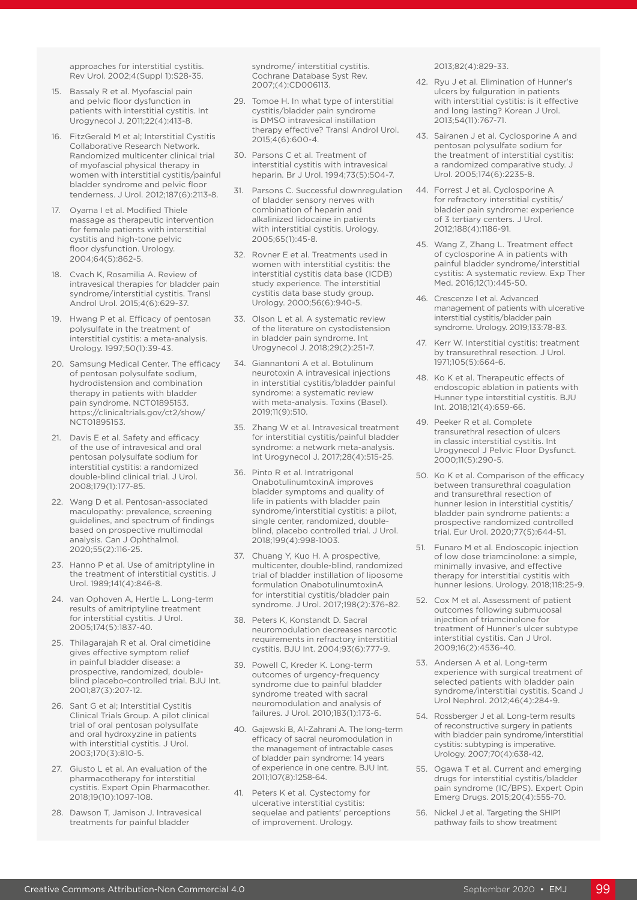approaches for interstitial cystitis. Rev Urol. 2002;4(Suppl 1):S28-35.

- 15. Bassaly R et al. Myofascial pain and pelvic floor dysfunction in patients with interstitial cystitis. Int Urogynecol J. 2011;22(4):413-8.
- 16. FitzGerald M et al; Interstitial Cystitis Collaborative Research Network. Randomized multicenter clinical trial of myofascial physical therapy in women with interstitial cystitis/painful bladder syndrome and pelvic floor tenderness. J Urol. 2012;187(6):2113-8.
- 17. Oyama I et al. Modified Thiele massage as therapeutic intervention for female patients with interstitial cystitis and high-tone pelvic floor dysfunction. Urology. 2004;64(5):862-5.
- 18. Cvach K, Rosamilia A. Review of intravesical therapies for bladder pain syndrome/interstitial cystitis. Transl Androl Urol. 2015;4(6):629-37.
- 19. Hwang P et al. Efficacy of pentosan polysulfate in the treatment of interstitial cystitis: a meta-analysis. Urology. 1997;50(1):39-43.
- 20. Samsung Medical Center. The efficacy of pentosan polysulfate sodium, hydrodistension and combination therapy in patients with bladder pain syndrome. NCT01895153. https://clinicaltrials.gov/ct2/show/ NCT01895153.
- 21. Davis E et al. Safety and efficacy of the use of intravesical and oral pentosan polysulfate sodium for interstitial cystitis: a randomized double-blind clinical trial. J Urol. 2008;179(1):177-85.
- 22. Wang D et al. Pentosan-associated maculopathy: prevalence, screening guidelines, and spectrum of findings based on prospective multimodal analysis. Can J Ophthalmol. 2020;55(2):116-25.
- 23. Hanno P et al. Use of amitriptyline in the treatment of interstitial cystitis. J Urol. 1989;141(4):846-8.
- 24. van Ophoven A, Hertle L. Long-term results of amitriptyline treatment for interstitial cystitis. J Urol. 2005;174(5):1837-40.
- 25. Thilagarajah R et al. Oral cimetidine gives effective symptom relief in painful bladder disease: a prospective, randomized, doubleblind placebo-controlled trial. BJU Int. 2001;87(3):207-12.
- 26. Sant G et al; Interstitial Cystitis Clinical Trials Group. A pilot clinical trial of oral pentosan polysulfate and oral hydroxyzine in patients with interstitial cystitis. J Urol. 2003;170(3):810-5.
- 27. Giusto L et al. An evaluation of the pharmacotherapy for interstitial cystitis. Expert Opin Pharmacother. 2018;19(10):1097-108.
- 28. Dawson T, Jamison J. Intravesical treatments for painful bladder

syndrome/ interstitial cystitis. Cochrane Database Syst Rev. 2007;(4):CD006113.

- 29. Tomoe H. In what type of interstitial cystitis/bladder pain syndrome is DMSO intravesical instillation therapy effective? Transl Androl Urol. 2015;4(6):600-4.
- 30. Parsons C et al. Treatment of interstitial cystitis with intravesical heparin. Br J Urol. 1994;73(5):504-7.
- 31. Parsons C. Successful downregulation of bladder sensory nerves with combination of heparin and alkalinized lidocaine in patients with interstitial cystitis. Urology. 2005;65(1):45-8.
- 32. Rovner E et al. Treatments used in women with interstitial cystitis: the interstitial cystitis data base (ICDB) study experience. The interstitial cystitis data base study group. Urology. 2000;56(6):940-5.
- 33. Olson L et al. A systematic review of the literature on cystodistension in bladder pain syndrome. Int Urogynecol J. 2018;29(2):251-7.
- 34. Giannantoni A et al. Botulinum neurotoxin A intravesical injections in interstitial cystitis/bladder painful syndrome: a systematic review with meta-analysis. Toxins (Basel). 2019;11(9):510.
- 35. Zhang W et al. Intravesical treatment for interstitial cystitis/painful bladder syndrome: a network meta-analysis. Int Urogynecol J. 2017;28(4):515-25.
- 36. Pinto R et al. Intratrigonal OnabotulinumtoxinA improves bladder symptoms and quality of life in patients with bladder pain syndrome/interstitial cystitis: a pilot, single center, randomized, doubleblind, placebo controlled trial. J Urol. 2018;199(4):998-1003.
- 37. Chuang Y, Kuo H. A prospective, multicenter, double-blind, randomized trial of bladder instillation of liposome formulation OnabotulinumtoxinA for interstitial cystitis/bladder pain syndrome. J Urol. 2017;198(2):376-82.
- 38. Peters K, Konstandt D. Sacral neuromodulation decreases narcotic requirements in refractory interstitial cystitis. BJU Int. 2004;93(6):777-9.
- 39. Powell C, Kreder K. Long-term outcomes of urgency-frequency syndrome due to painful bladder syndrome treated with sacral neuromodulation and analysis of failures. J Urol. 2010;183(1):173-6.
- 40. Gajewski B, Al-Zahrani A. The long-term efficacy of sacral neuromodulation in the management of intractable cases of bladder pain syndrome: 14 years of experience in one centre. BJU Int. 2011;107(8):1258-64.
- 41. Peters K et al. Cystectomy for ulcerative interstitial cystitis: sequelae and patients' perceptions of improvement. Urology.

2013;82(4):829-33.

- 42. Ryu J et al. Elimination of Hunner's ulcers by fulguration in patients with interstitial cystitis: is it effective and long lasting? Korean J Urol. 2013;54(11):767-71.
- 43. Sairanen J et al. Cyclosporine A and pentosan polysulfate sodium for the treatment of interstitial cystitis: a randomized comparative study. J Urol. 2005;174(6):2235-8.
- 44. Forrest J et al. Cyclosporine A for refractory interstitial cystitis/ bladder pain syndrome: experience of 3 tertiary centers. J Urol. 2012;188(4):1186-91.
- 45. Wang Z, Zhang L. Treatment effect of cyclosporine A in patients with painful bladder syndrome/interstitial cystitis: A systematic review. Exp Ther Med. 2016;12(1):445-50.
- 46. Crescenze I et al. Advanced management of patients with ulcerative interstitial cystitis/bladder pain syndrome. Urology. 2019;133:78-83.
- 47. Kerr W. Interstitial cystitis: treatment by transurethral resection. J Urol. 1971;105(5):664-6.
- 48. Ko K et al. Therapeutic effects of endoscopic ablation in patients with Hunner type interstitial cystitis. BJU Int. 2018;121(4):659-66.
- 49. Peeker R et al. Complete transurethral resection of ulcers in classic interstitial cystitis. Int Urogynecol J Pelvic Floor Dysfunct. 2000;11(5):290-5.
- 50. Ko K et al. Comparison of the efficacy between transurethral coagulation and transurethral resection of hunner lesion in interstitial cystitis/ bladder pain syndrome patients: a prospective randomized controlled trial. Eur Urol. 2020;77(5):644-51.
- 51. Funaro M et al. Endoscopic injection of low dose triamcinolone: a simple, minimally invasive, and effective therapy for interstitial cystitis with hunner lesions. Urology. 2018;118:25-9.
- 52. Cox M et al. Assessment of patient outcomes following submucosal injection of triamcinolone for treatment of Hunner's ulcer subtype interstitial cystitis. Can J Urol. 2009;16(2):4536-40.
- 53. Andersen A et al. Long-term experience with surgical treatment of selected patients with bladder pain syndrome/interstitial cystitis. Scand J Urol Nephrol. 2012;46(4):284-9.
- 54. Rossberger J et al. Long-term results of reconstructive surgery in patients with bladder pain syndrome/interstitial cystitis: subtyping is imperative. Urology. 2007;70(4):638-42.
- 55. Ogawa T et al. Current and emerging drugs for interstitial cystitis/bladder pain syndrome (IC/BPS). Expert Opin Emerg Drugs. 2015;20(4):555-70.
- 56. Nickel J et al. Targeting the SHIP1 pathway fails to show treatment